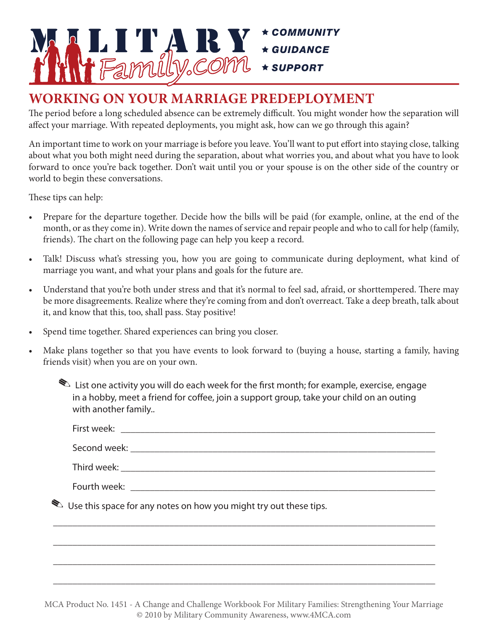

## **WORKING ON YOUR MARRIAGE PREDEPLOYMENT**  $T$ KNING ON TOOK MAKKIAGE. PKEDEPLOTMENT

The period before a long scheduled absence can be extremely difficult. You might wonder how the separation will affect your marriage. With repeated deployments, you might ask, how can we go through this again?

An important time to work on your marriage is before you leave. You'll want to put effort into staying close, talking about what you both might need during the separation, about what worries you, and about what you have to look forward to once you're back together. Don't wait until you or your spouse is on the other side of the country or world to begin these conversations.

These tips can help: These tips can help:

- • Prepare for the departure together. Decide how the bills will be paid (for example, online, at the end of the month, or as they come in). Write down the names of service and repair people and who to call for help (family, friends). The chart on the following page can help you keep a record. Prepare for the departure together. Decide how the bills will be paid (for example, online, at the end of the month, or as the month of the month of service and repair of the names of service and repair record.
- • Talk! Discuss what's stressing you, how you are going to communicate during deployment, what kind of Talk! Discuss what's stressing you, how you are going to communicate during deployment, marriage you want, and what your plans and goals for the future are.
- Understand that you're both under stress and that it's normal to feel sad, afraid, or shorttempered. There may be more disagreements. Realize where they're coming from and don't overreact. Take a deep breath, talk about it, and know that this, too, shall pass. Stay positive!
- Spend time together. Shared experiences can bring you closer.
- Make plans together so that you have events to look forward to (buying a house, starting a family, having friends visit) when you are on your own friends visit) when you are on your own. Spend time together. Shared experiences can bring you closer. and  $\frac{1}{2}$  when  $\frac{1}{2}$  when  $\frac{1}{2}$  when  $\frac{1}{2}$  when  $\frac{1}{2}$

List one activity you will do each week for the first month; for example, exercise, engage in a hobby, meet a friend for coffee, join a support group, take your child on an outing with another family..

| Use this space for any notes on how you might try out these tips. |
|-------------------------------------------------------------------|
|                                                                   |
|                                                                   |
|                                                                   |

© 2010 by Military Community Awareness, www.4MCA.com MCA Product No. 1451 - A Change and Challenge Workbook For Military Families: Strengthening Your Marriage

\_\_\_\_\_\_\_\_\_\_\_\_\_\_\_\_\_\_\_\_\_\_\_\_\_\_\_\_\_\_\_\_\_\_\_\_\_\_\_\_\_\_\_\_\_\_\_\_\_\_\_\_\_\_\_\_\_\_\_\_\_\_\_\_\_\_\_\_\_\_\_\_\_\_\_\_\_\_\_